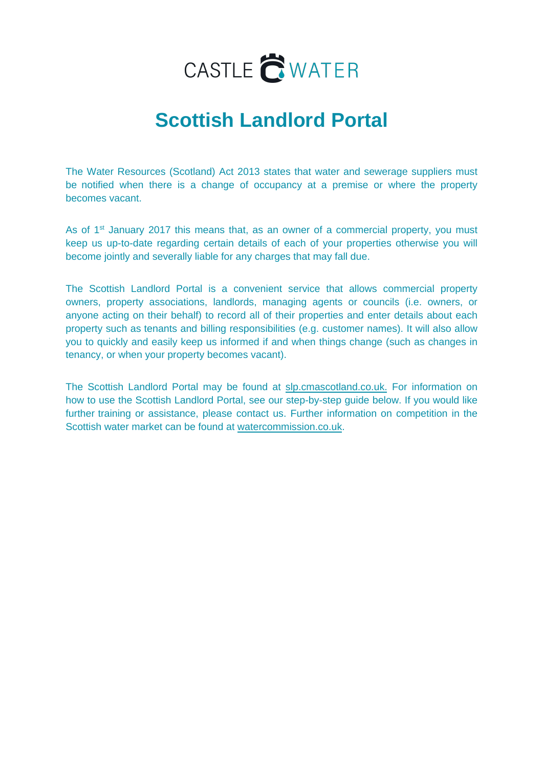

# **Scottish Landlord Portal**

The Water Resources (Scotland) Act 2013 states that water and sewerage suppliers must be notified when there is a change of occupancy at a premise or where the property becomes vacant.

As of 1<sup>st</sup> January 2017 this means that, as an owner of a commercial property, you must keep us up-to-date regarding certain details of each of your properties otherwise you will become jointly and severally liable for any charges that may fall due.

The Scottish Landlord Portal is a convenient service that allows commercial property owners, property associations, landlords, managing agents or councils (i.e. owners, or anyone acting on their behalf) to record all of their properties and enter details about each property such as tenants and billing responsibilities (e.g. customer names). It will also allow you to quickly and easily keep us informed if and when things change (such as changes in tenancy, or when your property becomes vacant).

The Scottish Landlord Portal may be found at slp.cmascotland.co.uk. For information on how to use the Scottish Landlord Portal, see our step-by-step guide below. If you would like further training or assistance, please contact us. Further information on competition in the Scottish water market can be [found at watercommissio](http://www.watercommission.co.uk/)n.co.uk.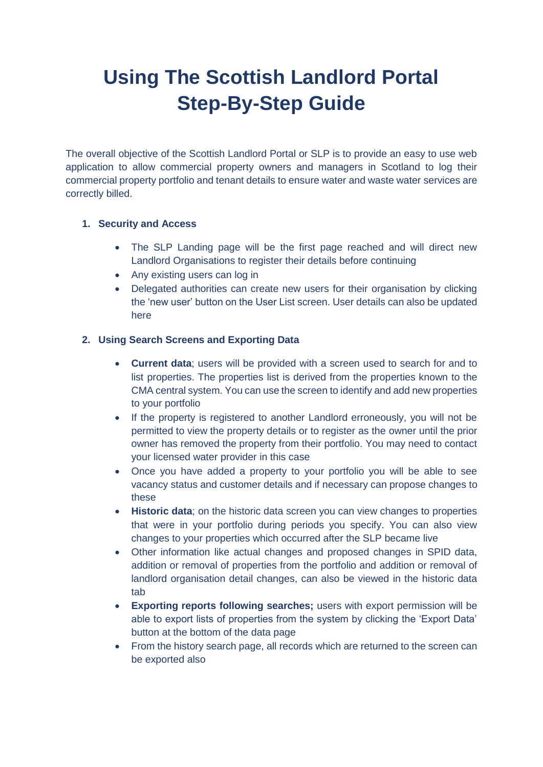# **Using The Scottish Landlord Portal Step-By-Step Guide**

The overall objective of the Scottish Landlord Portal or SLP is to provide an easy to use web application to allow commercial property owners and managers in Scotland to log their commercial property portfolio and tenant details to ensure water and waste water services are correctly billed.

#### **1. Security and Access**

- The SLP Landing page will be the first page reached and will direct new Landlord Organisations to register their details before continuing
- Any existing users can log in
- Delegated authorities can create new users for their organisation by clicking the 'new user' button on the User List screen. User details can also be updated here

#### **2. Using Search Screens and Exporting Data**

- **Current data**; users will be provided with a screen used to search for and to list properties. The properties list is derived from the properties known to the CMA central system. You can use the screen to identify and add new properties to your portfolio
- If the property is registered to another Landlord erroneously, you will not be permitted to view the property details or to register as the owner until the prior owner has removed the property from their portfolio. You may need to contact your licensed water provider in this case
- Once you have added a property to your portfolio you will be able to see vacancy status and customer details and if necessary can propose changes to these
- **Historic data**; on the historic data screen you can view changes to properties that were in your portfolio during periods you specify. You can also view changes to your properties which occurred after the SLP became live
- Other information like actual changes and proposed changes in SPID data, addition or removal of properties from the portfolio and addition or removal of landlord organisation detail changes, can also be viewed in the historic data tab
- **Exporting reports following searches;** users with export permission will be able to export lists of properties from the system by clicking the 'Export Data' button at the bottom of the data page
- From the history search page, all records which are returned to the screen can be exported also